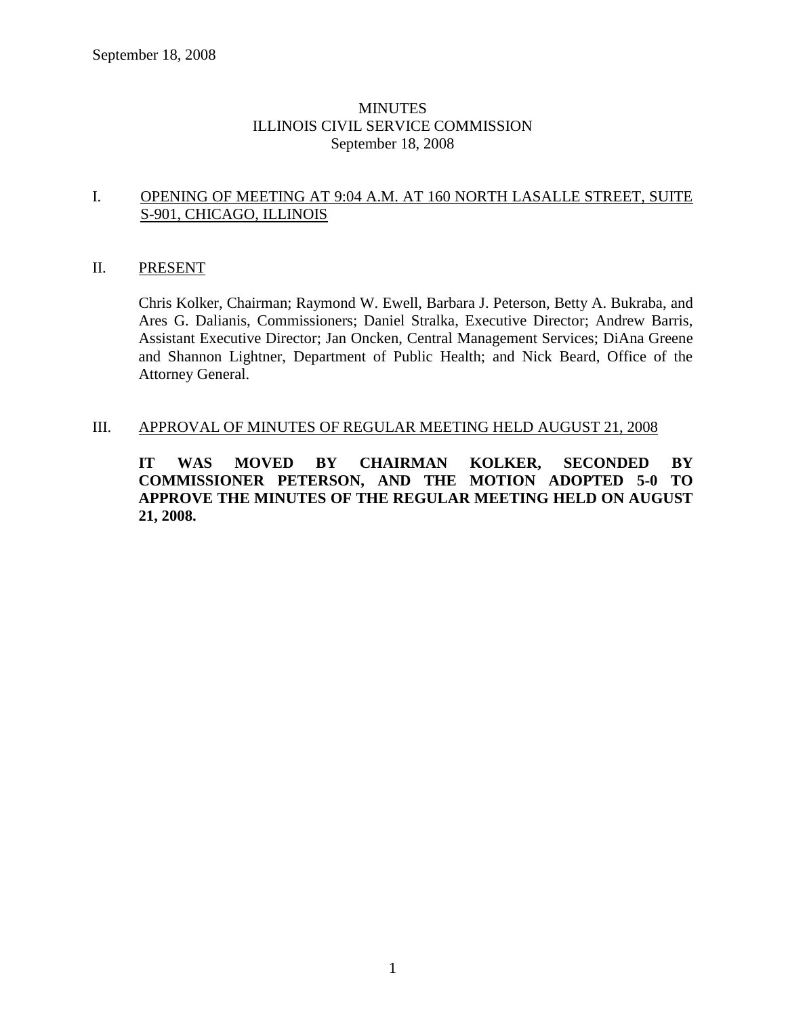# MINUTES ILLINOIS CIVIL SERVICE COMMISSION September 18, 2008

# I. OPENING OF MEETING AT 9:04 A.M. AT 160 NORTH LASALLE STREET, SUITE S-901, CHICAGO, ILLINOIS

# II. PRESENT

Chris Kolker, Chairman; Raymond W. Ewell, Barbara J. Peterson, Betty A. Bukraba, and Ares G. Dalianis, Commissioners; Daniel Stralka, Executive Director; Andrew Barris, Assistant Executive Director; Jan Oncken, Central Management Services; DiAna Greene and Shannon Lightner, Department of Public Health; and Nick Beard, Office of the Attorney General.

# III. APPROVAL OF MINUTES OF REGULAR MEETING HELD AUGUST 21, 2008

**IT WAS MOVED BY CHAIRMAN KOLKER, SECONDED BY COMMISSIONER PETERSON, AND THE MOTION ADOPTED 5-0 TO APPROVE THE MINUTES OF THE REGULAR MEETING HELD ON AUGUST 21, 2008.**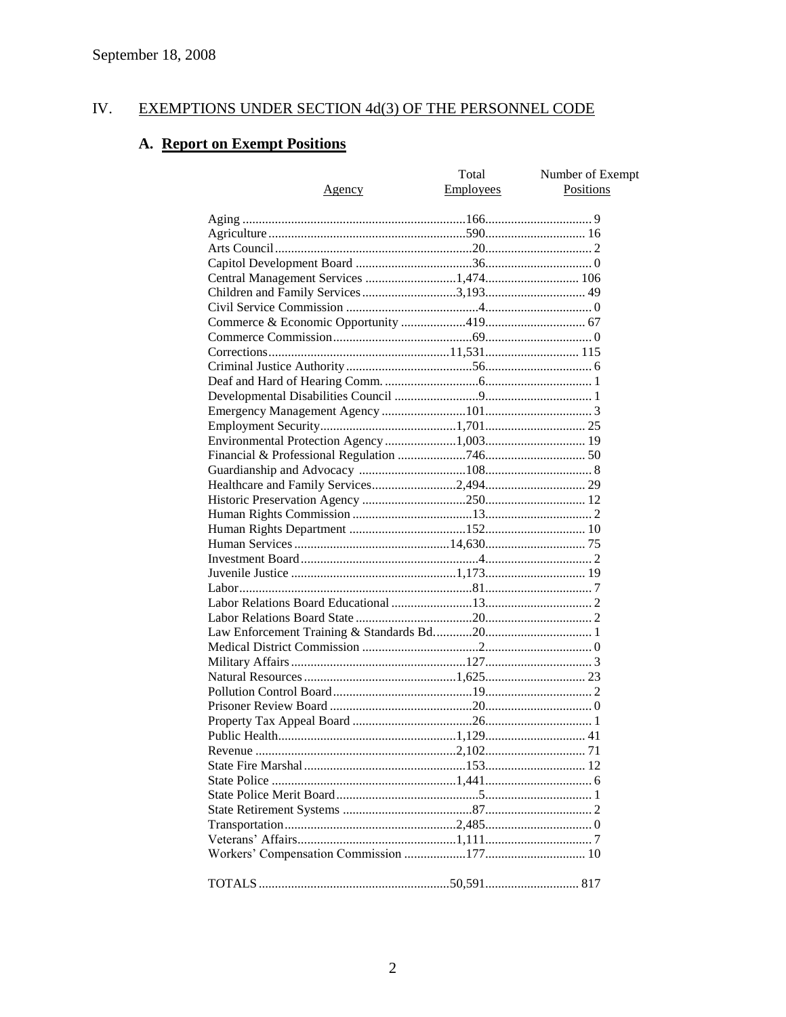#### IV. EXEMPTIONS UNDER SECTION 4d(3) OF THE PERSONNEL CODE

# A. Report on Exempt Positions

| <b>Employees</b><br>Positions<br><u>Agency</u> |  |
|------------------------------------------------|--|
|                                                |  |
|                                                |  |
|                                                |  |
|                                                |  |
|                                                |  |
|                                                |  |
|                                                |  |
|                                                |  |
|                                                |  |
|                                                |  |
|                                                |  |
|                                                |  |
|                                                |  |
|                                                |  |
|                                                |  |
|                                                |  |
|                                                |  |
|                                                |  |
|                                                |  |
|                                                |  |
|                                                |  |
|                                                |  |
|                                                |  |
|                                                |  |
|                                                |  |
|                                                |  |
|                                                |  |
|                                                |  |
|                                                |  |
|                                                |  |
|                                                |  |
|                                                |  |
|                                                |  |
|                                                |  |
|                                                |  |
|                                                |  |
|                                                |  |
|                                                |  |
|                                                |  |
|                                                |  |
|                                                |  |
|                                                |  |
|                                                |  |
|                                                |  |
|                                                |  |
|                                                |  |
|                                                |  |
|                                                |  |
|                                                |  |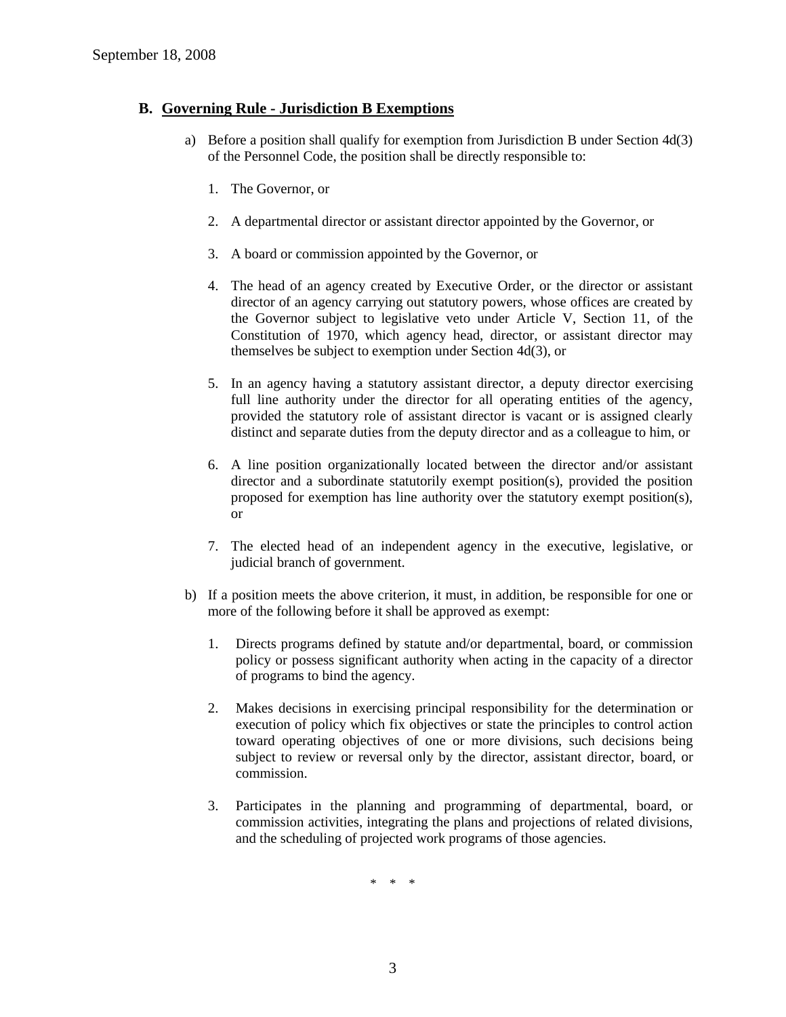# **B. Governing Rule - Jurisdiction B Exemptions**

- a) Before a position shall qualify for exemption from Jurisdiction B under Section 4d(3) of the Personnel Code, the position shall be directly responsible to:
	- 1. The Governor, or
	- 2. A departmental director or assistant director appointed by the Governor, or
	- 3. A board or commission appointed by the Governor, or
	- 4. The head of an agency created by Executive Order, or the director or assistant director of an agency carrying out statutory powers, whose offices are created by the Governor subject to legislative veto under Article V, Section 11, of the Constitution of 1970, which agency head, director, or assistant director may themselves be subject to exemption under Section 4d(3), or
	- 5. In an agency having a statutory assistant director, a deputy director exercising full line authority under the director for all operating entities of the agency, provided the statutory role of assistant director is vacant or is assigned clearly distinct and separate duties from the deputy director and as a colleague to him, or
	- 6. A line position organizationally located between the director and/or assistant director and a subordinate statutorily exempt position(s), provided the position proposed for exemption has line authority over the statutory exempt position(s), or
	- 7. The elected head of an independent agency in the executive, legislative, or judicial branch of government.
- b) If a position meets the above criterion, it must, in addition, be responsible for one or more of the following before it shall be approved as exempt:
	- 1. Directs programs defined by statute and/or departmental, board, or commission policy or possess significant authority when acting in the capacity of a director of programs to bind the agency.
	- 2. Makes decisions in exercising principal responsibility for the determination or execution of policy which fix objectives or state the principles to control action toward operating objectives of one or more divisions, such decisions being subject to review or reversal only by the director, assistant director, board, or commission.
	- 3. Participates in the planning and programming of departmental, board, or commission activities, integrating the plans and projections of related divisions, and the scheduling of projected work programs of those agencies.

\* \* \*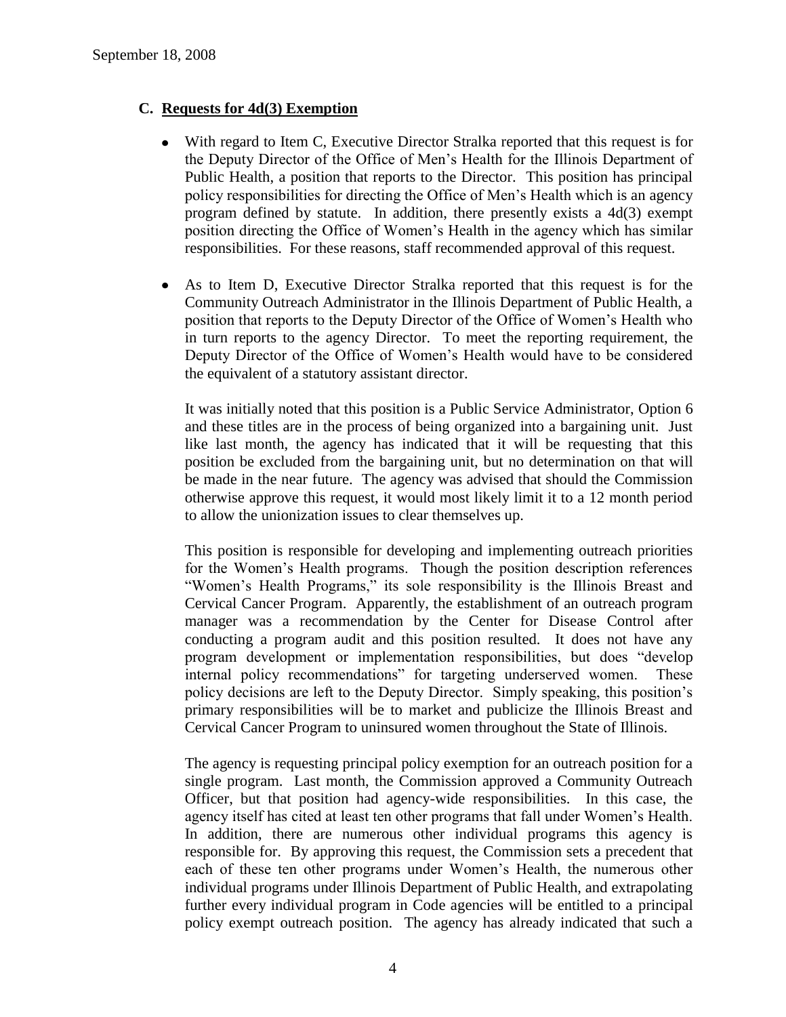# **C. Requests for 4d(3) Exemption**

- With regard to Item C, Executive Director Stralka reported that this request is for the Deputy Director of the Office of Men's Health for the Illinois Department of Public Health, a position that reports to the Director. This position has principal policy responsibilities for directing the Office of Men's Health which is an agency program defined by statute. In addition, there presently exists a 4d(3) exempt position directing the Office of Women's Health in the agency which has similar responsibilities. For these reasons, staff recommended approval of this request.
- As to Item D, Executive Director Stralka reported that this request is for the Community Outreach Administrator in the Illinois Department of Public Health, a position that reports to the Deputy Director of the Office of Women's Health who in turn reports to the agency Director. To meet the reporting requirement, the Deputy Director of the Office of Women's Health would have to be considered the equivalent of a statutory assistant director.

It was initially noted that this position is a Public Service Administrator, Option 6 and these titles are in the process of being organized into a bargaining unit. Just like last month, the agency has indicated that it will be requesting that this position be excluded from the bargaining unit, but no determination on that will be made in the near future. The agency was advised that should the Commission otherwise approve this request, it would most likely limit it to a 12 month period to allow the unionization issues to clear themselves up.

This position is responsible for developing and implementing outreach priorities for the Women's Health programs. Though the position description references "Women's Health Programs," its sole responsibility is the Illinois Breast and Cervical Cancer Program. Apparently, the establishment of an outreach program manager was a recommendation by the Center for Disease Control after conducting a program audit and this position resulted. It does not have any program development or implementation responsibilities, but does "develop internal policy recommendations" for targeting underserved women. These policy decisions are left to the Deputy Director. Simply speaking, this position's primary responsibilities will be to market and publicize the Illinois Breast and Cervical Cancer Program to uninsured women throughout the State of Illinois.

The agency is requesting principal policy exemption for an outreach position for a single program. Last month, the Commission approved a Community Outreach Officer, but that position had agency-wide responsibilities. In this case, the agency itself has cited at least ten other programs that fall under Women's Health. In addition, there are numerous other individual programs this agency is responsible for. By approving this request, the Commission sets a precedent that each of these ten other programs under Women's Health, the numerous other individual programs under Illinois Department of Public Health, and extrapolating further every individual program in Code agencies will be entitled to a principal policy exempt outreach position. The agency has already indicated that such a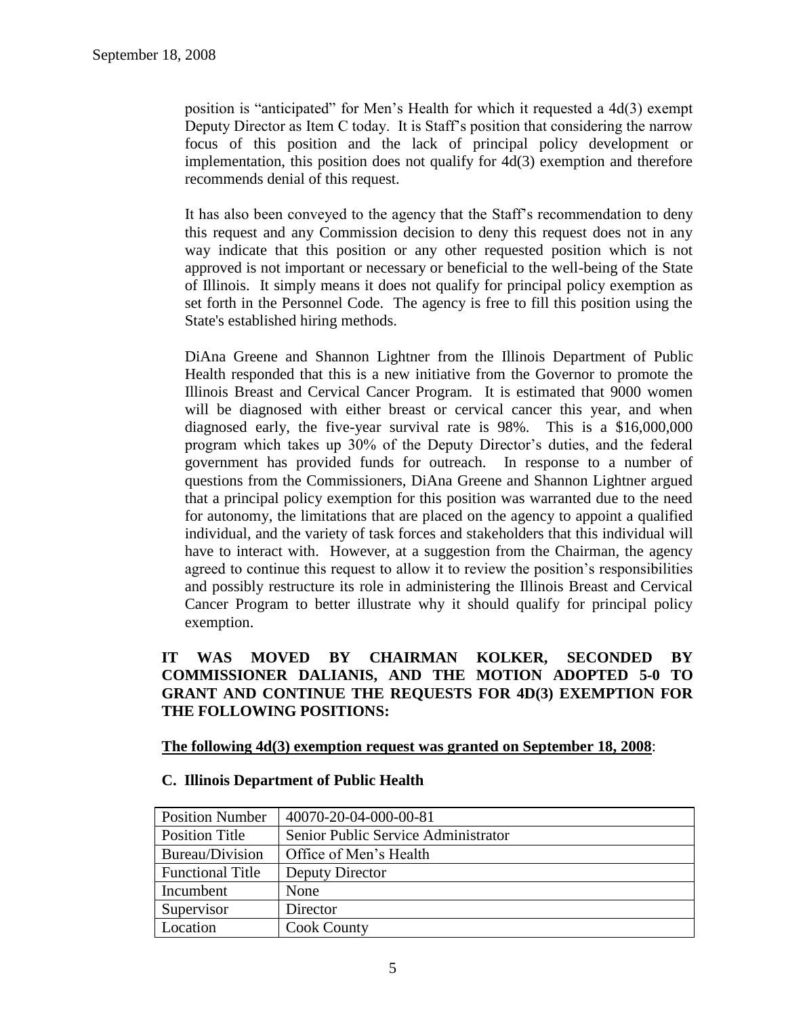position is "anticipated" for Men's Health for which it requested a 4d(3) exempt Deputy Director as Item C today. It is Staff's position that considering the narrow focus of this position and the lack of principal policy development or implementation, this position does not qualify for 4d(3) exemption and therefore recommends denial of this request.

It has also been conveyed to the agency that the Staff's recommendation to deny this request and any Commission decision to deny this request does not in any way indicate that this position or any other requested position which is not approved is not important or necessary or beneficial to the well-being of the State of Illinois. It simply means it does not qualify for principal policy exemption as set forth in the Personnel Code. The agency is free to fill this position using the State's established hiring methods.

DiAna Greene and Shannon Lightner from the Illinois Department of Public Health responded that this is a new initiative from the Governor to promote the Illinois Breast and Cervical Cancer Program. It is estimated that 9000 women will be diagnosed with either breast or cervical cancer this year, and when diagnosed early, the five-year survival rate is 98%. This is a \$16,000,000 program which takes up 30% of the Deputy Director's duties, and the federal government has provided funds for outreach. In response to a number of questions from the Commissioners, DiAna Greene and Shannon Lightner argued that a principal policy exemption for this position was warranted due to the need for autonomy, the limitations that are placed on the agency to appoint a qualified individual, and the variety of task forces and stakeholders that this individual will have to interact with. However, at a suggestion from the Chairman, the agency agreed to continue this request to allow it to review the position's responsibilities and possibly restructure its role in administering the Illinois Breast and Cervical Cancer Program to better illustrate why it should qualify for principal policy exemption.

# **IT WAS MOVED BY CHAIRMAN KOLKER, SECONDED BY COMMISSIONER DALIANIS, AND THE MOTION ADOPTED 5-0 TO GRANT AND CONTINUE THE REQUESTS FOR 4D(3) EXEMPTION FOR THE FOLLOWING POSITIONS:**

#### **The following 4d(3) exemption request was granted on September 18, 2008**:

#### **C. Illinois Department of Public Health**

| <b>Position Number</b>  | 40070-20-04-000-00-81               |
|-------------------------|-------------------------------------|
| <b>Position Title</b>   | Senior Public Service Administrator |
| Bureau/Division         | Office of Men's Health              |
| <b>Functional Title</b> | Deputy Director                     |
| Incumbent               | None                                |
| Supervisor              | Director                            |
| Location                | <b>Cook County</b>                  |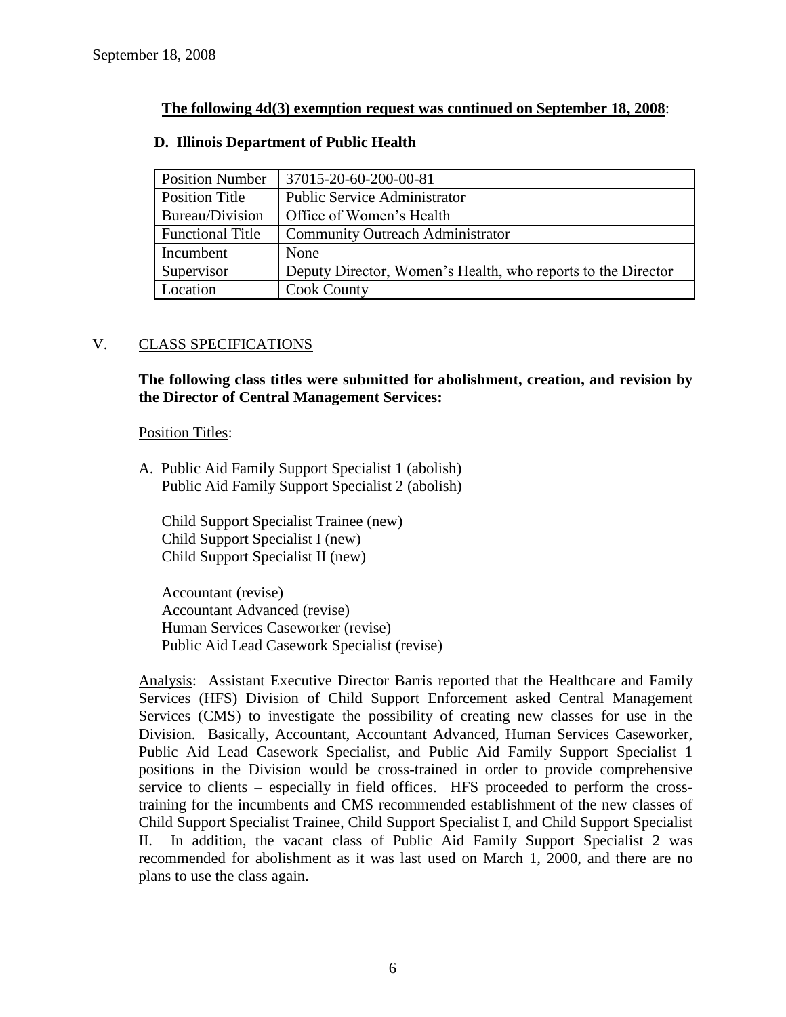# **The following 4d(3) exemption request was continued on September 18, 2008**:

| <b>Position Number</b>  | 37015-20-60-200-00-81                                        |
|-------------------------|--------------------------------------------------------------|
| Position Title          | <b>Public Service Administrator</b>                          |
| Bureau/Division         | Office of Women's Health                                     |
| <b>Functional Title</b> | <b>Community Outreach Administrator</b>                      |
| Incumbent               | None                                                         |
| Supervisor              | Deputy Director, Women's Health, who reports to the Director |
| Location                | <b>Cook County</b>                                           |

# **D. Illinois Department of Public Health**

# V. CLASS SPECIFICATIONS

**The following class titles were submitted for abolishment, creation, and revision by the Director of Central Management Services:**

#### Position Titles:

A. Public Aid Family Support Specialist 1 (abolish) Public Aid Family Support Specialist 2 (abolish)

Child Support Specialist Trainee (new) Child Support Specialist I (new) Child Support Specialist II (new)

Accountant (revise) Accountant Advanced (revise) Human Services Caseworker (revise) Public Aid Lead Casework Specialist (revise)

Analysis: Assistant Executive Director Barris reported that the Healthcare and Family Services (HFS) Division of Child Support Enforcement asked Central Management Services (CMS) to investigate the possibility of creating new classes for use in the Division. Basically, Accountant, Accountant Advanced, Human Services Caseworker, Public Aid Lead Casework Specialist, and Public Aid Family Support Specialist 1 positions in the Division would be cross-trained in order to provide comprehensive service to clients – especially in field offices. HFS proceeded to perform the crosstraining for the incumbents and CMS recommended establishment of the new classes of Child Support Specialist Trainee, Child Support Specialist I, and Child Support Specialist II. In addition, the vacant class of Public Aid Family Support Specialist 2 was recommended for abolishment as it was last used on March 1, 2000, and there are no plans to use the class again.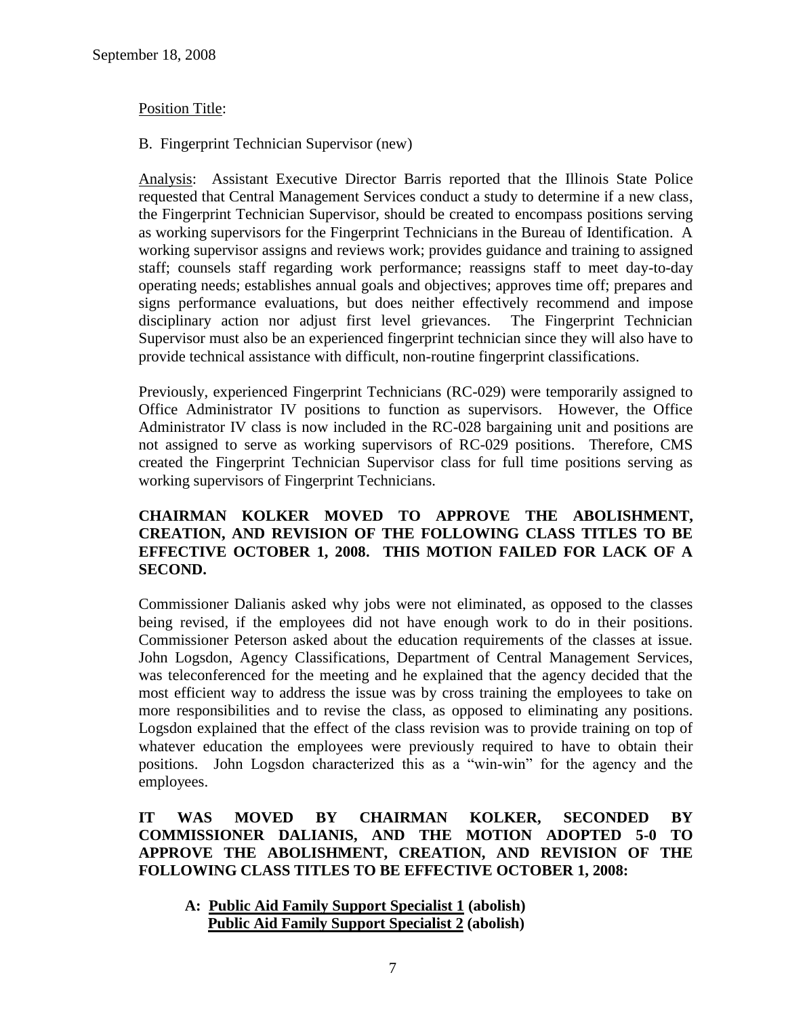# Position Title:

#### B. Fingerprint Technician Supervisor (new)

Analysis: Assistant Executive Director Barris reported that the Illinois State Police requested that Central Management Services conduct a study to determine if a new class, the Fingerprint Technician Supervisor, should be created to encompass positions serving as working supervisors for the Fingerprint Technicians in the Bureau of Identification. A working supervisor assigns and reviews work; provides guidance and training to assigned staff; counsels staff regarding work performance; reassigns staff to meet day-to-day operating needs; establishes annual goals and objectives; approves time off; prepares and signs performance evaluations, but does neither effectively recommend and impose disciplinary action nor adjust first level grievances. The Fingerprint Technician Supervisor must also be an experienced fingerprint technician since they will also have to provide technical assistance with difficult, non-routine fingerprint classifications.

Previously, experienced Fingerprint Technicians (RC-029) were temporarily assigned to Office Administrator IV positions to function as supervisors. However, the Office Administrator IV class is now included in the RC-028 bargaining unit and positions are not assigned to serve as working supervisors of RC-029 positions. Therefore, CMS created the Fingerprint Technician Supervisor class for full time positions serving as working supervisors of Fingerprint Technicians.

# **CHAIRMAN KOLKER MOVED TO APPROVE THE ABOLISHMENT, CREATION, AND REVISION OF THE FOLLOWING CLASS TITLES TO BE EFFECTIVE OCTOBER 1, 2008. THIS MOTION FAILED FOR LACK OF A SECOND.**

Commissioner Dalianis asked why jobs were not eliminated, as opposed to the classes being revised, if the employees did not have enough work to do in their positions. Commissioner Peterson asked about the education requirements of the classes at issue. John Logsdon, Agency Classifications, Department of Central Management Services, was teleconferenced for the meeting and he explained that the agency decided that the most efficient way to address the issue was by cross training the employees to take on more responsibilities and to revise the class, as opposed to eliminating any positions. Logsdon explained that the effect of the class revision was to provide training on top of whatever education the employees were previously required to have to obtain their positions. John Logsdon characterized this as a "win-win" for the agency and the employees.

**IT WAS MOVED BY CHAIRMAN KOLKER, SECONDED BY COMMISSIONER DALIANIS, AND THE MOTION ADOPTED 5-0 TO APPROVE THE ABOLISHMENT, CREATION, AND REVISION OF THE FOLLOWING CLASS TITLES TO BE EFFECTIVE OCTOBER 1, 2008:**

**A: Public Aid Family Support Specialist 1 (abolish) Public Aid Family Support Specialist 2 (abolish)**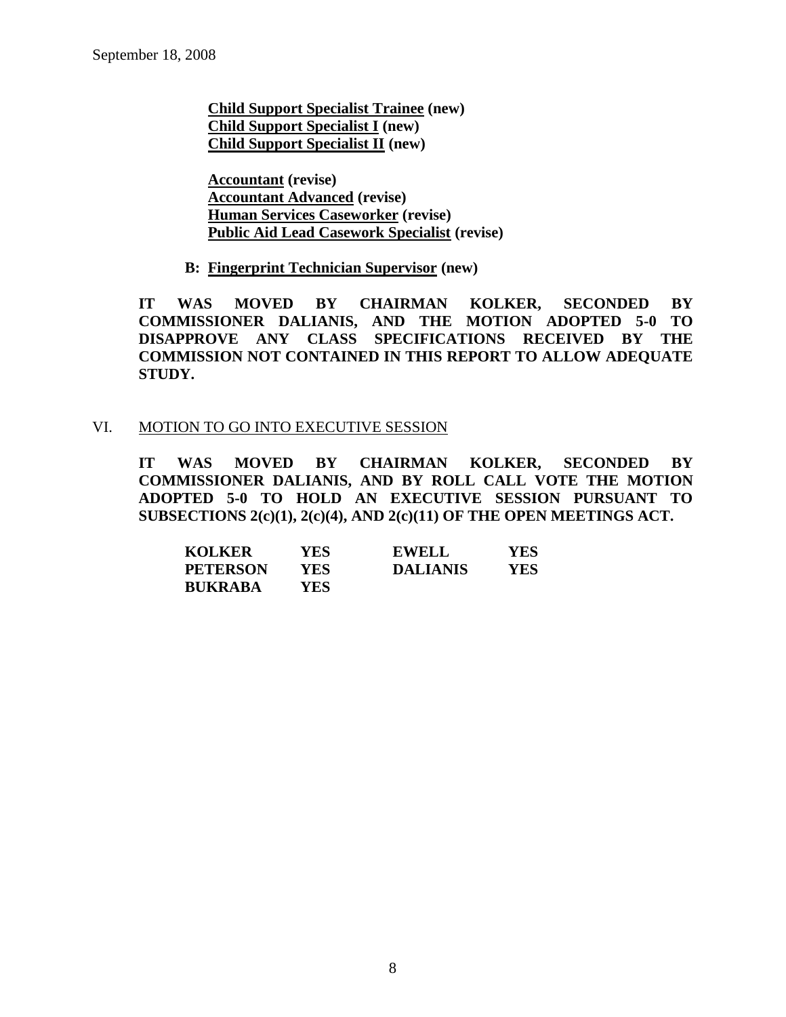**Child Support Specialist Trainee (new) Child Support Specialist I (new) Child Support Specialist II (new)**

**Accountant (revise) Accountant Advanced (revise) Human Services Caseworker (revise) Public Aid Lead Casework Specialist (revise)**

**B: Fingerprint Technician Supervisor (new)**

**IT WAS MOVED BY CHAIRMAN KOLKER, SECONDED BY COMMISSIONER DALIANIS, AND THE MOTION ADOPTED 5-0 TO DISAPPROVE ANY CLASS SPECIFICATIONS RECEIVED BY THE COMMISSION NOT CONTAINED IN THIS REPORT TO ALLOW ADEQUATE STUDY.** 

# VI. MOTION TO GO INTO EXECUTIVE SESSION

**IT WAS MOVED BY CHAIRMAN KOLKER, SECONDED BY COMMISSIONER DALIANIS, AND BY ROLL CALL VOTE THE MOTION ADOPTED 5-0 TO HOLD AN EXECUTIVE SESSION PURSUANT TO SUBSECTIONS 2(c)(1), 2(c)(4), AND 2(c)(11) OF THE OPEN MEETINGS ACT.** 

| <b>KOLKER</b>   | YES. | <b>EWELL</b>    | YES |
|-----------------|------|-----------------|-----|
| <b>PETERSON</b> | YES. | <b>DALIANIS</b> | YES |
| <b>BUKRABA</b>  | YES. |                 |     |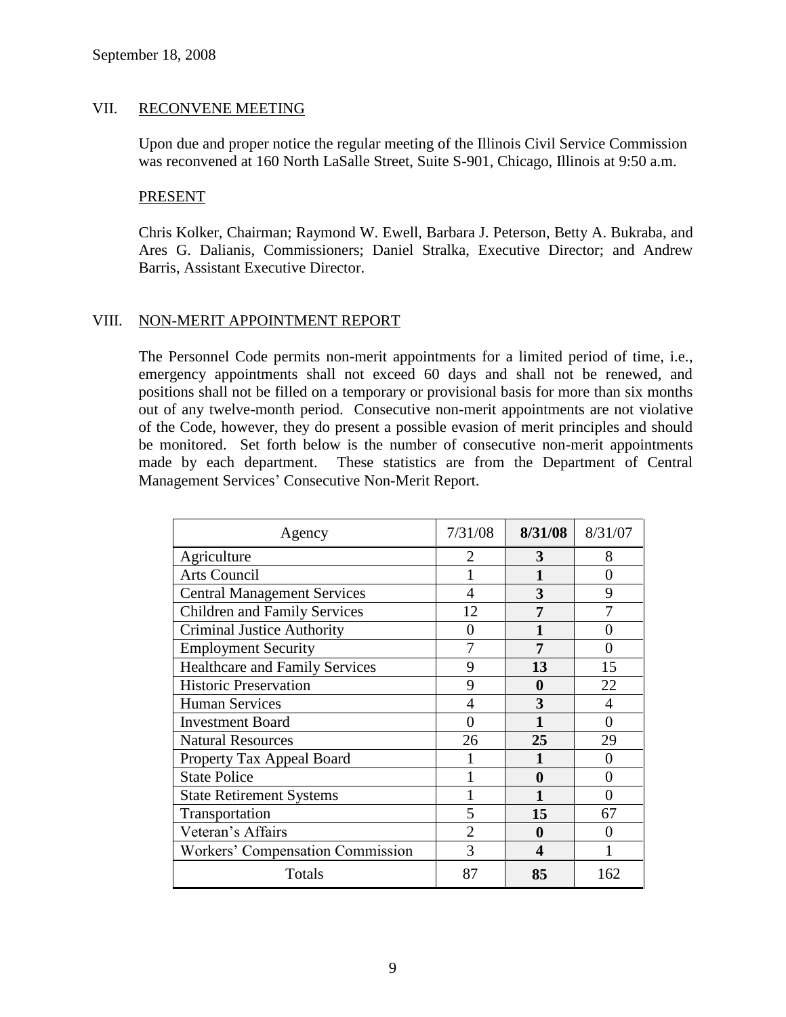#### VII. RECONVENE MEETING

Upon due and proper notice the regular meeting of the Illinois Civil Service Commission was reconvened at 160 North LaSalle Street, Suite S-901, Chicago, Illinois at 9:50 a.m.

#### PRESENT

Chris Kolker, Chairman; Raymond W. Ewell, Barbara J. Peterson, Betty A. Bukraba, and Ares G. Dalianis, Commissioners; Daniel Stralka, Executive Director; and Andrew Barris, Assistant Executive Director.

# VIII. NON-MERIT APPOINTMENT REPORT

The Personnel Code permits non-merit appointments for a limited period of time, i.e., emergency appointments shall not exceed 60 days and shall not be renewed, and positions shall not be filled on a temporary or provisional basis for more than six months out of any twelve-month period. Consecutive non-merit appointments are not violative of the Code, however, they do present a possible evasion of merit principles and should be monitored. Set forth below is the number of consecutive non-merit appointments made by each department. These statistics are from the Department of Central Management Services' Consecutive Non-Merit Report.

| Agency                                | 7/31/08 | 8/31/08  | 8/31/07           |
|---------------------------------------|---------|----------|-------------------|
| Agriculture                           | 2       | 3        | 8                 |
| <b>Arts Council</b>                   |         |          | 0                 |
| <b>Central Management Services</b>    |         | 3        | 9                 |
| <b>Children and Family Services</b>   | 12      | 7        |                   |
| <b>Criminal Justice Authority</b>     | ( )     |          | $\mathbf{\Omega}$ |
| <b>Employment Security</b>            |         | 7        | 0                 |
| <b>Healthcare and Family Services</b> | 9       | 13       | 15                |
| <b>Historic Preservation</b>          | 9       | 0        | 22                |
| <b>Human Services</b>                 |         | 3        |                   |
| <b>Investment Board</b>               |         |          | ∩                 |
| <b>Natural Resources</b>              | 26      | 25       | 29                |
| Property Tax Appeal Board             |         |          |                   |
| <b>State Police</b>                   |         | $\bf{0}$ | 0                 |
| <b>State Retirement Systems</b>       |         |          | 0                 |
| Transportation                        | 5       | 15       | 67                |
| Veteran's Affairs                     | 2       | 0        |                   |
| Workers' Compensation Commission      | 3       | 4        |                   |
| Totals                                | 87      | 85       | 162               |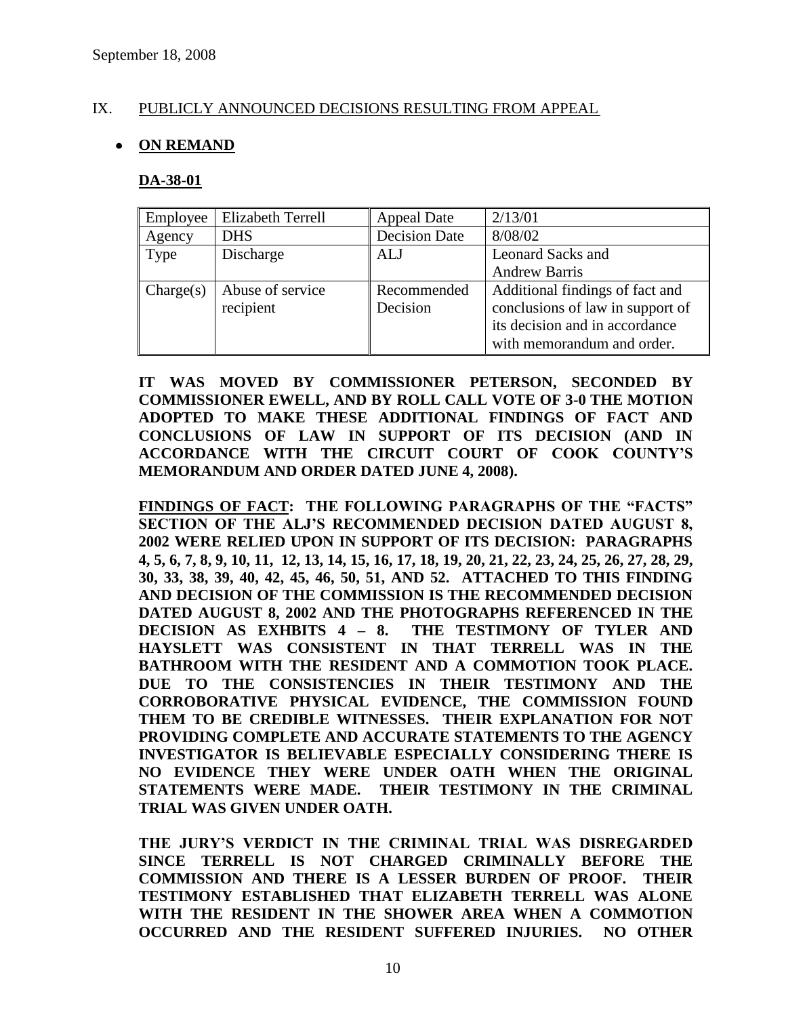# IX. PUBLICLY ANNOUNCED DECISIONS RESULTING FROM APPEAL

# **ON REMAND**

#### **DA-38-01**

| Employee  | <b>Elizabeth Terrell</b> | <b>Appeal Date</b>   | 2/13/01                          |
|-----------|--------------------------|----------------------|----------------------------------|
| Agency    | <b>DHS</b>               | <b>Decision Date</b> | 8/08/02                          |
| Type      | Discharge                | ALJ                  | <b>Leonard Sacks and</b>         |
|           |                          |                      | <b>Andrew Barris</b>             |
| Change(s) | Abuse of service         | Recommended          | Additional findings of fact and  |
|           | recipient                | Decision             | conclusions of law in support of |
|           |                          |                      | its decision and in accordance   |
|           |                          |                      | with memorandum and order.       |

**IT WAS MOVED BY COMMISSIONER PETERSON, SECONDED BY COMMISSIONER EWELL, AND BY ROLL CALL VOTE OF 3-0 THE MOTION ADOPTED TO MAKE THESE ADDITIONAL FINDINGS OF FACT AND CONCLUSIONS OF LAW IN SUPPORT OF ITS DECISION (AND IN ACCORDANCE WITH THE CIRCUIT COURT OF COOK COUNTY"S MEMORANDUM AND ORDER DATED JUNE 4, 2008).**

**FINDINGS OF FACT: THE FOLLOWING PARAGRAPHS OF THE "FACTS" SECTION OF THE ALJ"S RECOMMENDED DECISION DATED AUGUST 8, 2002 WERE RELIED UPON IN SUPPORT OF ITS DECISION: PARAGRAPHS 4, 5, 6, 7, 8, 9, 10, 11, 12, 13, 14, 15, 16, 17, 18, 19, 20, 21, 22, 23, 24, 25, 26, 27, 28, 29, 30, 33, 38, 39, 40, 42, 45, 46, 50, 51, AND 52. ATTACHED TO THIS FINDING AND DECISION OF THE COMMISSION IS THE RECOMMENDED DECISION DATED AUGUST 8, 2002 AND THE PHOTOGRAPHS REFERENCED IN THE DECISION AS EXHBITS 4 – 8. THE TESTIMONY OF TYLER AND HAYSLETT WAS CONSISTENT IN THAT TERRELL WAS IN THE BATHROOM WITH THE RESIDENT AND A COMMOTION TOOK PLACE. DUE TO THE CONSISTENCIES IN THEIR TESTIMONY AND THE CORROBORATIVE PHYSICAL EVIDENCE, THE COMMISSION FOUND THEM TO BE CREDIBLE WITNESSES. THEIR EXPLANATION FOR NOT PROVIDING COMPLETE AND ACCURATE STATEMENTS TO THE AGENCY INVESTIGATOR IS BELIEVABLE ESPECIALLY CONSIDERING THERE IS NO EVIDENCE THEY WERE UNDER OATH WHEN THE ORIGINAL STATEMENTS WERE MADE. THEIR TESTIMONY IN THE CRIMINAL TRIAL WAS GIVEN UNDER OATH.** 

**THE JURY"S VERDICT IN THE CRIMINAL TRIAL WAS DISREGARDED SINCE TERRELL IS NOT CHARGED CRIMINALLY BEFORE THE COMMISSION AND THERE IS A LESSER BURDEN OF PROOF. THEIR TESTIMONY ESTABLISHED THAT ELIZABETH TERRELL WAS ALONE WITH THE RESIDENT IN THE SHOWER AREA WHEN A COMMOTION OCCURRED AND THE RESIDENT SUFFERED INJURIES. NO OTHER**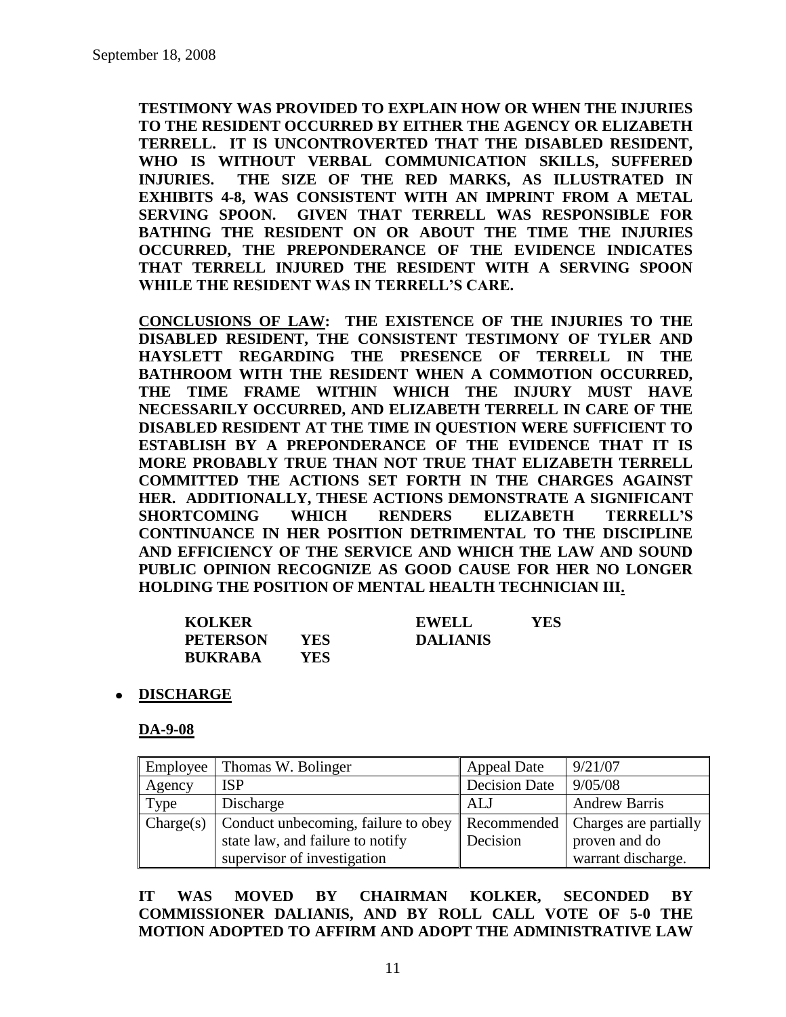**TESTIMONY WAS PROVIDED TO EXPLAIN HOW OR WHEN THE INJURIES TO THE RESIDENT OCCURRED BY EITHER THE AGENCY OR ELIZABETH TERRELL. IT IS UNCONTROVERTED THAT THE DISABLED RESIDENT, WHO IS WITHOUT VERBAL COMMUNICATION SKILLS, SUFFERED INJURIES. THE SIZE OF THE RED MARKS, AS ILLUSTRATED IN EXHIBITS 4-8, WAS CONSISTENT WITH AN IMPRINT FROM A METAL SERVING SPOON. GIVEN THAT TERRELL WAS RESPONSIBLE FOR BATHING THE RESIDENT ON OR ABOUT THE TIME THE INJURIES OCCURRED, THE PREPONDERANCE OF THE EVIDENCE INDICATES THAT TERRELL INJURED THE RESIDENT WITH A SERVING SPOON WHILE THE RESIDENT WAS IN TERRELL"S CARE.** 

**CONCLUSIONS OF LAW: THE EXISTENCE OF THE INJURIES TO THE DISABLED RESIDENT, THE CONSISTENT TESTIMONY OF TYLER AND HAYSLETT REGARDING THE PRESENCE OF TERRELL IN THE BATHROOM WITH THE RESIDENT WHEN A COMMOTION OCCURRED, THE TIME FRAME WITHIN WHICH THE INJURY MUST HAVE NECESSARILY OCCURRED, AND ELIZABETH TERRELL IN CARE OF THE DISABLED RESIDENT AT THE TIME IN QUESTION WERE SUFFICIENT TO ESTABLISH BY A PREPONDERANCE OF THE EVIDENCE THAT IT IS MORE PROBABLY TRUE THAN NOT TRUE THAT ELIZABETH TERRELL COMMITTED THE ACTIONS SET FORTH IN THE CHARGES AGAINST HER. ADDITIONALLY, THESE ACTIONS DEMONSTRATE A SIGNIFICANT SHORTCOMING WHICH RENDERS ELIZABETH TERRELL"S CONTINUANCE IN HER POSITION DETRIMENTAL TO THE DISCIPLINE AND EFFICIENCY OF THE SERVICE AND WHICH THE LAW AND SOUND PUBLIC OPINION RECOGNIZE AS GOOD CAUSE FOR HER NO LONGER HOLDING THE POSITION OF MENTAL HEALTH TECHNICIAN III.**

| <b>KOLKER</b>   |      | <b>EWELL</b>    | YES |
|-----------------|------|-----------------|-----|
| <b>PETERSON</b> | YES. | <b>DALIANIS</b> |     |
| <b>BUKRABA</b>  | YES. |                 |     |

**DISCHARGE**

**DA-9-08**

| Employee  | Thomas W. Bolinger                              | <b>Appeal Date</b>   | 9/21/07               |
|-----------|-------------------------------------------------|----------------------|-----------------------|
| Agency    | <b>ISP</b>                                      | <b>Decision Date</b> | 9/05/08               |
| Type      | Discharge                                       | ALJ                  | <b>Andrew Barris</b>  |
| Change(s) | Conduct unbecoming, failure to obey Recommended |                      | Charges are partially |
|           | state law, and failure to notify                | Decision             | proven and do         |
|           | supervisor of investigation                     |                      | warrant discharge.    |

**IT WAS MOVED BY CHAIRMAN KOLKER, SECONDED BY COMMISSIONER DALIANIS, AND BY ROLL CALL VOTE OF 5-0 THE MOTION ADOPTED TO AFFIRM AND ADOPT THE ADMINISTRATIVE LAW**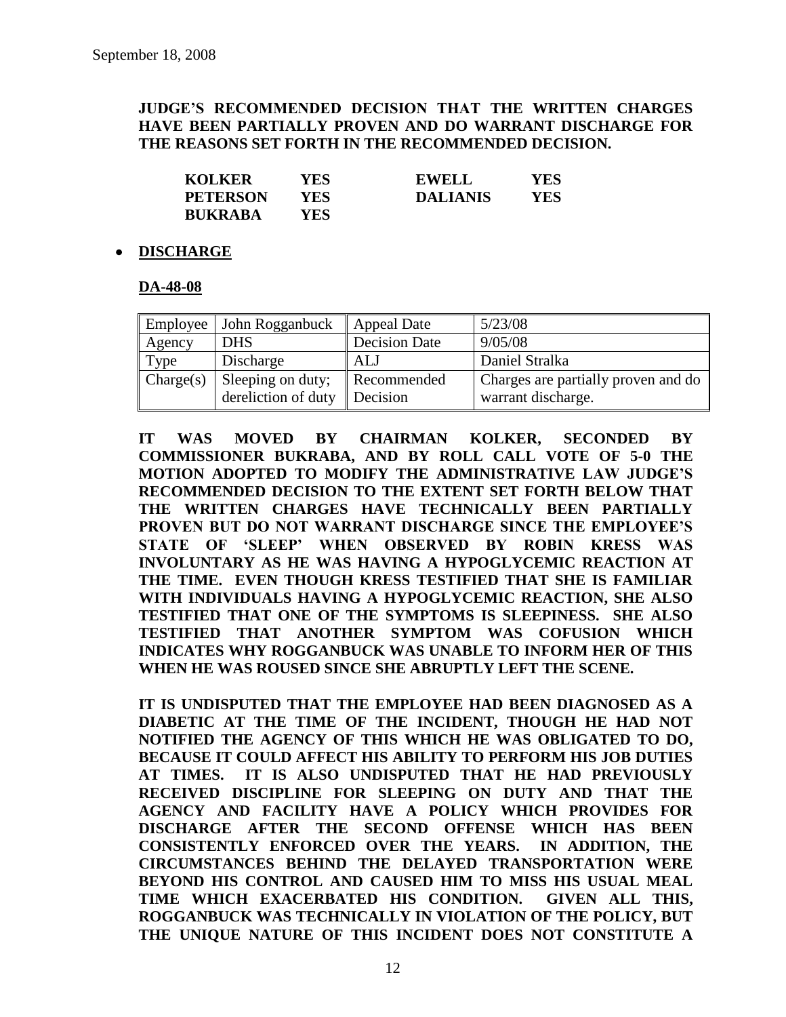# **JUDGE"S RECOMMENDED DECISION THAT THE WRITTEN CHARGES HAVE BEEN PARTIALLY PROVEN AND DO WARRANT DISCHARGE FOR THE REASONS SET FORTH IN THE RECOMMENDED DECISION.**

| <b>KOLKER</b>   | YES. | <b>EWELL</b>    | YES. |
|-----------------|------|-----------------|------|
| <b>PETERSON</b> | YES  | <b>DALIANIS</b> | YES. |
| <b>BUKRABA</b>  | YES. |                 |      |

# **DISCHARGE**

#### **DA-48-08**

| Employee  | John Rogganbuck                          | Appeal Date             | 5/23/08                                                   |
|-----------|------------------------------------------|-------------------------|-----------------------------------------------------------|
| Agency    | <b>DHS</b>                               | <b>Decision Date</b>    | 9/05/08                                                   |
| Type      | Discharge                                | ALJ                     | Daniel Stralka                                            |
| Change(s) | Sleeping on duty;<br>dereliction of duty | Recommended<br>Decision | Charges are partially proven and do<br>warrant discharge. |

**IT WAS MOVED BY CHAIRMAN KOLKER, SECONDED BY COMMISSIONER BUKRABA, AND BY ROLL CALL VOTE OF 5-0 THE MOTION ADOPTED TO MODIFY THE ADMINISTRATIVE LAW JUDGE"S RECOMMENDED DECISION TO THE EXTENT SET FORTH BELOW THAT THE WRITTEN CHARGES HAVE TECHNICALLY BEEN PARTIALLY PROVEN BUT DO NOT WARRANT DISCHARGE SINCE THE EMPLOYEE"S STATE OF "SLEEP" WHEN OBSERVED BY ROBIN KRESS WAS INVOLUNTARY AS HE WAS HAVING A HYPOGLYCEMIC REACTION AT THE TIME. EVEN THOUGH KRESS TESTIFIED THAT SHE IS FAMILIAR WITH INDIVIDUALS HAVING A HYPOGLYCEMIC REACTION, SHE ALSO TESTIFIED THAT ONE OF THE SYMPTOMS IS SLEEPINESS. SHE ALSO TESTIFIED THAT ANOTHER SYMPTOM WAS COFUSION WHICH INDICATES WHY ROGGANBUCK WAS UNABLE TO INFORM HER OF THIS WHEN HE WAS ROUSED SINCE SHE ABRUPTLY LEFT THE SCENE.** 

**IT IS UNDISPUTED THAT THE EMPLOYEE HAD BEEN DIAGNOSED AS A DIABETIC AT THE TIME OF THE INCIDENT, THOUGH HE HAD NOT NOTIFIED THE AGENCY OF THIS WHICH HE WAS OBLIGATED TO DO, BECAUSE IT COULD AFFECT HIS ABILITY TO PERFORM HIS JOB DUTIES AT TIMES. IT IS ALSO UNDISPUTED THAT HE HAD PREVIOUSLY RECEIVED DISCIPLINE FOR SLEEPING ON DUTY AND THAT THE AGENCY AND FACILITY HAVE A POLICY WHICH PROVIDES FOR DISCHARGE AFTER THE SECOND OFFENSE WHICH HAS BEEN CONSISTENTLY ENFORCED OVER THE YEARS. IN ADDITION, THE CIRCUMSTANCES BEHIND THE DELAYED TRANSPORTATION WERE BEYOND HIS CONTROL AND CAUSED HIM TO MISS HIS USUAL MEAL TIME WHICH EXACERBATED HIS CONDITION. GIVEN ALL THIS, ROGGANBUCK WAS TECHNICALLY IN VIOLATION OF THE POLICY, BUT THE UNIQUE NATURE OF THIS INCIDENT DOES NOT CONSTITUTE A**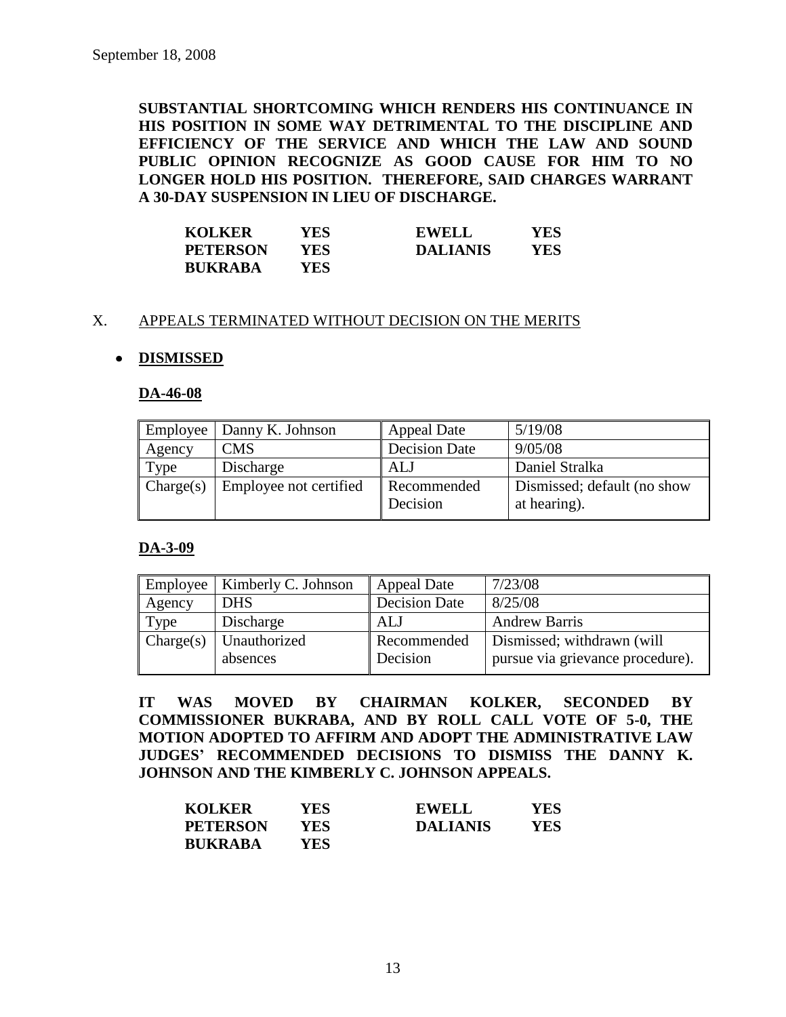**SUBSTANTIAL SHORTCOMING WHICH RENDERS HIS CONTINUANCE IN HIS POSITION IN SOME WAY DETRIMENTAL TO THE DISCIPLINE AND EFFICIENCY OF THE SERVICE AND WHICH THE LAW AND SOUND PUBLIC OPINION RECOGNIZE AS GOOD CAUSE FOR HIM TO NO LONGER HOLD HIS POSITION. THEREFORE, SAID CHARGES WARRANT A 30-DAY SUSPENSION IN LIEU OF DISCHARGE.**

| <b>KOLKER</b>   | YES  | <b>EWELL</b>    | YES |
|-----------------|------|-----------------|-----|
| <b>PETERSON</b> | YES. | <b>DALIANIS</b> | YES |
| <b>BUKRABA</b>  | YES. |                 |     |

# X. APPEALS TERMINATED WITHOUT DECISION ON THE MERITS

# **DISMISSED**

#### **DA-46-08**

| Employee  | Danny K. Johnson       | <b>Appeal Date</b>      | 5/19/08                                     |
|-----------|------------------------|-------------------------|---------------------------------------------|
| Agency    | <b>CMS</b>             | <b>Decision Date</b>    | 9/05/08                                     |
| Type      | Discharge              | ALJ                     | Daniel Stralka                              |
| Change(s) | Employee not certified | Recommended<br>Decision | Dismissed; default (no show<br>at hearing). |

#### **DA-3-09**

|           | Employee   Kimberly C. Johnson | <b>Appeal Date</b>      | 7/23/08                                                        |
|-----------|--------------------------------|-------------------------|----------------------------------------------------------------|
| Agency    | <b>DHS</b>                     | <b>Decision Date</b>    | 8/25/08                                                        |
| Type      | Discharge                      | ALJ                     | <b>Andrew Barris</b>                                           |
| Change(s) | Unauthorized<br>absences       | Recommended<br>Decision | Dismissed; withdrawn (will<br>pursue via grievance procedure). |

**IT WAS MOVED BY CHAIRMAN KOLKER, SECONDED BY COMMISSIONER BUKRABA, AND BY ROLL CALL VOTE OF 5-0, THE MOTION ADOPTED TO AFFIRM AND ADOPT THE ADMINISTRATIVE LAW JUDGES" RECOMMENDED DECISIONS TO DISMISS THE DANNY K. JOHNSON AND THE KIMBERLY C. JOHNSON APPEALS.**

| <b>KOLKER</b>   | YES. | <b>EWELL</b>    | <b>YES</b> |
|-----------------|------|-----------------|------------|
| <b>PETERSON</b> | YES  | <b>DALIANIS</b> | YES        |
| <b>BUKRABA</b>  | YES. |                 |            |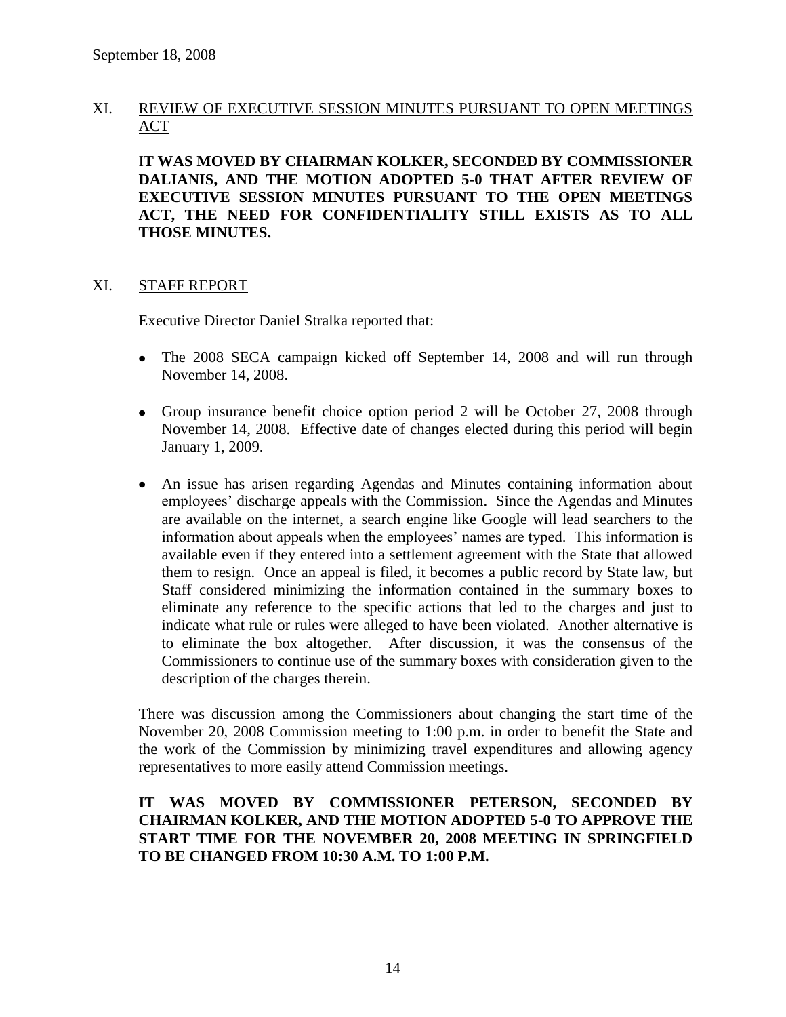# XI. REVIEW OF EXECUTIVE SESSION MINUTES PURSUANT TO OPEN MEETINGS ACT

I**T WAS MOVED BY CHAIRMAN KOLKER, SECONDED BY COMMISSIONER DALIANIS, AND THE MOTION ADOPTED 5-0 THAT AFTER REVIEW OF EXECUTIVE SESSION MINUTES PURSUANT TO THE OPEN MEETINGS ACT, THE NEED FOR CONFIDENTIALITY STILL EXISTS AS TO ALL THOSE MINUTES.**

#### XI. STAFF REPORT

Executive Director Daniel Stralka reported that:

- The 2008 SECA campaign kicked off September 14, 2008 and will run through November 14, 2008.
- Group insurance benefit choice option period 2 will be October 27, 2008 through November 14, 2008. Effective date of changes elected during this period will begin January 1, 2009.
- An issue has arisen regarding Agendas and Minutes containing information about employees' discharge appeals with the Commission. Since the Agendas and Minutes are available on the internet, a search engine like Google will lead searchers to the information about appeals when the employees' names are typed. This information is available even if they entered into a settlement agreement with the State that allowed them to resign. Once an appeal is filed, it becomes a public record by State law, but Staff considered minimizing the information contained in the summary boxes to eliminate any reference to the specific actions that led to the charges and just to indicate what rule or rules were alleged to have been violated. Another alternative is to eliminate the box altogether. After discussion, it was the consensus of the Commissioners to continue use of the summary boxes with consideration given to the description of the charges therein.

There was discussion among the Commissioners about changing the start time of the November 20, 2008 Commission meeting to 1:00 p.m. in order to benefit the State and the work of the Commission by minimizing travel expenditures and allowing agency representatives to more easily attend Commission meetings.

# **IT WAS MOVED BY COMMISSIONER PETERSON, SECONDED BY CHAIRMAN KOLKER, AND THE MOTION ADOPTED 5-0 TO APPROVE THE START TIME FOR THE NOVEMBER 20, 2008 MEETING IN SPRINGFIELD TO BE CHANGED FROM 10:30 A.M. TO 1:00 P.M.**